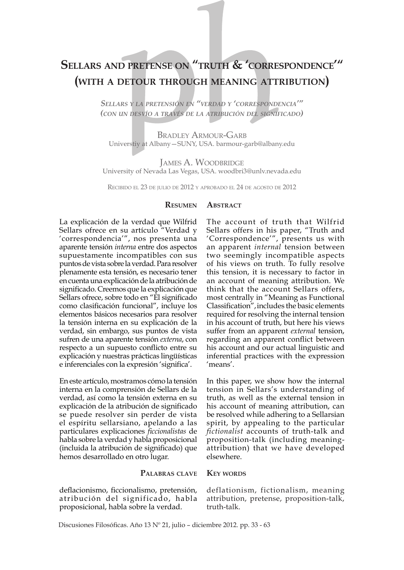# **Sellars and pretense on "truth & 'correspondence'" (with <sup>a</sup> detour through meaning attribution)**

*Sellars <sup>y</sup> la pretensión en "verdad y 'correspondencia'" (con un desvío <sup>a</sup> través de la atribución del significado)*

Bradley Armour-Garb Universtiy at Albany—SUNY, USA. barmour-garb@albany.edu

James A. Woodbridge University of Nevada Las Vegas, USA. woodbri3@unlv.nevada.edu

Recibido el 23 de julio de 2012 y aprobado el 24 de agosto de 2012

#### **Resumen ABSTRACT**

La explicación de la verdad que Wilfrid Sellars ofrece en su artículo "Verdad y 'correspondencia'", nos presenta una aparente tensión *interna* entre dos aspectos supuestamente incompatibles con sus puntos de vista sobre la verdad. Para resolver plenamente esta tensión, es necesario tener en cuenta una explicación de la atribución de significado. Creemos que la explicación que Sellars ofrece, sobre todo en "El significado como clasificación funcional", incluye los elementos básicos necesarios para resolver la tensión interna en su explicación de la verdad, sin embargo, sus puntos de vista sufren de una aparente tensión *externa*, con respecto a un supuesto conflicto entre su explicación y nuestras prácticas lingüísticas e inferenciales con la expresión 'significa'.

En este artículo, mostramos cómo la tensión interna en la comprensión de Sellars de la verdad, así como la tensión externa en su explicación de la atribución de significado se puede resolver sin perder de vista el espíritu sellarsiano, apelando a las particulares explicaciones *ficcionalistas* de habla sobre la verdad y habla proposicional (incluida la atribución de significado) que hemos desarrollado en otro lugar.

> **Palabras clave KEY** WORDS

deflacionismo, ficcionalismo, pretensión, atribución del significado, habla proposicional, habla sobre la verdad.

deflationism, fictionalism, meaning attribution, pretense, proposition-talk, truth-talk.

Discusiones Filosóficas. Año 13 Nº 21, julio – diciembre 2012. pp. 33 - 63

The account of truth that Wilfrid Sellars offers in his paper, "Truth and 'Correspondence'", presents us with an apparent *internal* tension between two seemingly incompatible aspects of his views on truth. To fully resolve this tension, it is necessary to factor in an account of meaning attribution. We think that the account Sellars offers, most centrally in "Meaning as Functional Classification", includes the basic elements required for resolving the internal tension in his account of truth, but here his views suffer from an apparent *external* tension, regarding an apparent conflict between his account and our actual linguistic and inferential practices with the expression 'means'.

In this paper, we show how the internal tension in Sellars's understanding of truth, as well as the external tension in his account of meaning attribution, can be resolved while adhering to a Sellarsian spirit, by appealing to the particular *fictionalist* accounts of truth-talk and proposition-talk (including meaningattribution) that we have developed elsewhere.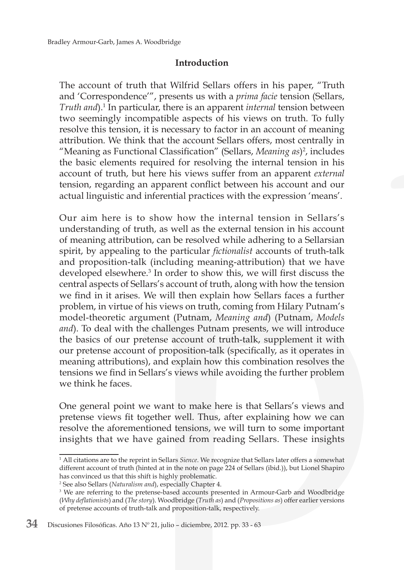## **Introduction**

The account of truth that Wilfrid Sellars offers in his paper, "Truth and 'Correspondence'", presents us with a *prima facie* tension (Sellars, *Truth and*).1 In particular, there is an apparent *internal* tension between two seemingly incompatible aspects of his views on truth. To fully resolve this tension, it is necessary to factor in an account of meaning attribution. We think that the account Sellars offers, most centrally in "Meaning as Functional Classification" (Sellars, *Meaning as*)<sup>2</sup>, includes the basic elements required for resolving the internal tension in his account of truth, but here his views suffer from an apparent *external*  tension, regarding an apparent conflict between his account and our actual linguistic and inferential practices with the expression 'means'.

Our aim here is to show how the internal tension in Sellars's understanding of truth, as well as the external tension in his account of meaning attribution, can be resolved while adhering to a Sellarsian spirit, by appealing to the particular *fictionalist* accounts of truth-talk and proposition-talk (including meaning-attribution) that we have developed elsewhere.3 In order to show this, we will first discuss the central aspects of Sellars's account of truth, along with how the tension we find in it arises. We will then explain how Sellars faces a further problem, in virtue of his views on truth, coming from Hilary Putnam's model-theoretic argument (Putnam, *Meaning and*) (Putnam, *Models and*). To deal with the challenges Putnam presents, we will introduce the basics of our pretense account of truth-talk, supplement it with our pretense account of proposition-talk (specifically, as it operates in meaning attributions), and explain how this combination resolves the tensions we find in Sellars's views while avoiding the further problem we think he faces.

One general point we want to make here is that Sellars's views and pretense views fit together well. Thus, after explaining how we can resolve the aforementioned tensions, we will turn to some important insights that we have gained from reading Sellars. These insights

<sup>1</sup> All citations are to the reprint in Sellars *Sience*. We recognize that Sellars later offers a somewhat different account of truth (hinted at in the note on page 224 of Sellars (ibid.)), but Lionel Shapiro has convinced us that this shift is highly problematic.

<sup>2</sup> See also Sellars (*Naturalism and*), especially Chapter 4.

<sup>&</sup>lt;sup>3</sup> We are referring to the pretense-based accounts presented in Armour-Garb and Woodbridge (*Why deflationists*) and (*The story*). Woodbridge (*Truth as*) and (*Propositions as*) offer earlier versions of pretense accounts of truth-talk and proposition-talk, respectively.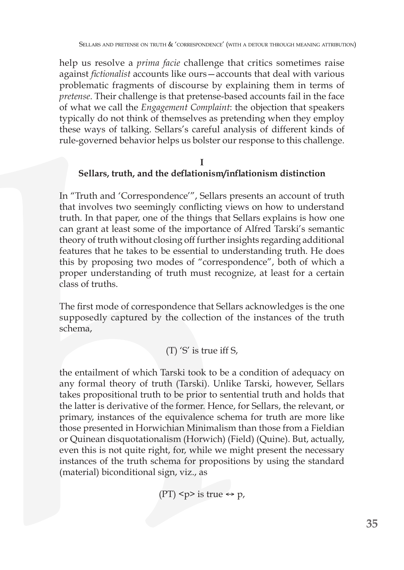help us resolve a *prima facie* challenge that critics sometimes raise against *fictionalist* accounts like ours—accounts that deal with various problematic fragments of discourse by explaining them in terms of *pretense*. Their challenge is that pretense-based accounts fail in the face of what we call the *Engagement Complaint*: the objection that speakers typically do not think of themselves as pretending when they employ these ways of talking. Sellars's careful analysis of different kinds of rule-governed behavior helps us bolster our response to this challenge.

#### **I Sellars, truth, and the deflationism/inflationism distinction**

In "Truth and 'Correspondence'", Sellars presents an account of truth that involves two seemingly conflicting views on how to understand truth. In that paper, one of the things that Sellars explains is how one can grant at least some of the importance of Alfred Tarski's semantic theory of truth without closing off further insights regarding additional features that he takes to be essential to understanding truth. He does this by proposing two modes of "correspondence", both of which a proper understanding of truth must recognize, at least for a certain class of truths.

The first mode of correspondence that Sellars acknowledges is the one supposedly captured by the collection of the instances of the truth schema,

## (T) 'S' is true iff S,

the entailment of which Tarski took to be a condition of adequacy on any formal theory of truth (Tarski). Unlike Tarski, however, Sellars takes propositional truth to be prior to sentential truth and holds that the latter is derivative of the former. Hence, for Sellars, the relevant, or primary, instances of the equivalence schema for truth are more like those presented in Horwichian Minimalism than those from a Fieldian or Quinean disquotationalism (Horwich) (Field) (Quine). But, actually, even this is not quite right, for, while we might present the necessary instances of the truth schema for propositions by using the standard (material) biconditional sign, viz., as

 $(PT)$  <p> is true  $\Leftrightarrow$  p,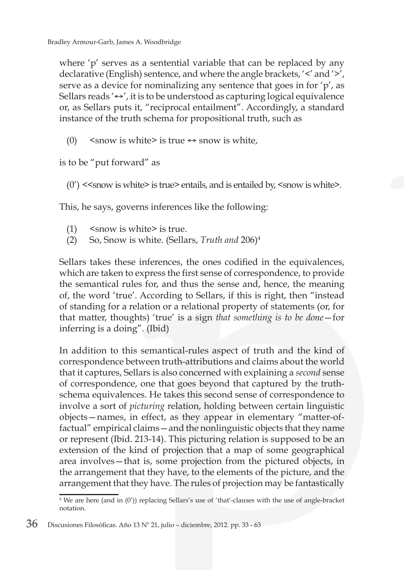where 'p' serves as a sentential variable that can be replaced by any declarative (English) sentence, and where the angle brackets, '<' and '>', serve as a device for nominalizing any sentence that goes in for 'p', as Sellars reads ' $\leftrightarrow'$ , it is to be understood as capturing logical equivalence or, as Sellars puts it, "reciprocal entailment". Accordingly, a standard instance of the truth schema for propositional truth, such as

(0)  $\leq$  snow is white> is true  $\leftrightarrow$  snow is white,

is to be "put forward" as

 $(0')$  < snow is white is true entails, and is entailed by,  $\leq$  snow is white  $\geq$ .

This, he says, governs inferences like the following:

- (1) <snow is white> is true.
- (2) So, Snow is white. (Sellars, *Truth and* 206)4

Sellars takes these inferences, the ones codified in the equivalences, which are taken to express the first sense of correspondence, to provide the semantical rules for, and thus the sense and, hence, the meaning of, the word 'true'. According to Sellars, if this is right, then "instead of standing for a relation or a relational property of statements (or, for that matter, thoughts) 'true' is a sign *that something is to be done*—for inferring is a doing". (Ibid)

In addition to this semantical-rules aspect of truth and the kind of correspondence between truth-attributions and claims about the world that it captures, Sellars is also concerned with explaining a *second* sense of correspondence, one that goes beyond that captured by the truthschema equivalences. He takes this second sense of correspondence to involve a sort of *picturing* relation, holding between certain linguistic objects—names, in effect, as they appear in elementary "matter-offactual" empirical claims—and the nonlinguistic objects that they name or represent (Ibid. 213-14). This picturing relation is supposed to be an extension of the kind of projection that a map of some geographical area involves—that is, some projection from the pictured objects, in the arrangement that they have, to the elements of the picture, and the arrangement that they have. The rules of projection may be fantastically

<sup>4</sup> We are here (and in (0')) replacing Sellars's use of 'that'-clauses with the use of angle-bracket notation.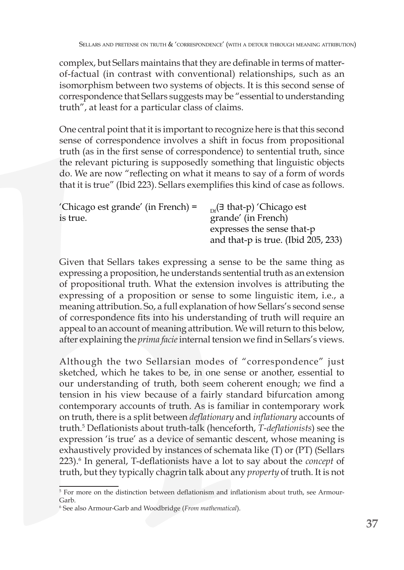complex, but Sellars maintains that they are definable in terms of matterof-factual (in contrast with conventional) relationships, such as an isomorphism between two systems of objects. It is this second sense of correspondence that Sellars suggests may be "essential to understanding truth", at least for a particular class of claims.

One central point that it is important to recognize here is that this second sense of correspondence involves a shift in focus from propositional truth (as in the first sense of correspondence) to sentential truth, since the relevant picturing is supposedly something that linguistic objects do. We are now "reflecting on what it means to say of a form of words that it is true" (Ibid 223). Sellars exemplifies this kind of case as follows.

| 'Chicago est grande' (in French) $=$ | $_{\rm pt}$ ( $\exists$ that-p) 'Chicago est |
|--------------------------------------|----------------------------------------------|
| is true.                             | grande' (in French)                          |
|                                      | expresses the sense that-p                   |
|                                      | and that- $p$ is true. (Ibid 205, 233)       |

Given that Sellars takes expressing a sense to be the same thing as expressing a proposition, he understands sentential truth as an extension of propositional truth. What the extension involves is attributing the expressing of a proposition or sense to some linguistic item, i.e., a meaning attribution. So, a full explanation of how Sellars's second sense of correspondence fits into his understanding of truth will require an appeal to an account of meaning attribution. We will return to this below, after explaining the *prima facie* internal tension we find in Sellars's views.

Although the two Sellarsian modes of "correspondence" just sketched, which he takes to be, in one sense or another, essential to our understanding of truth, both seem coherent enough; we find a tension in his view because of a fairly standard bifurcation among contemporary accounts of truth. As is familiar in contemporary work on truth, there is a split between *deflationary* and *inflationary* accounts of truth.<sup>5</sup> Deflationists about truth-talk (henceforth, *T-deflationists*) see the expression 'is true' as a device of semantic descent, whose meaning is exhaustively provided by instances of schemata like (T) or (PT) (Sellars 223).<sup>6</sup> In general, T-deflationists have a lot to say about the *concept* of truth, but they typically chagrin talk about any *property* of truth. It is not

<sup>5</sup> For more on the distinction between deflationism and inflationism about truth, see Armour-Garb.

<sup>6</sup> See also Armour-Garb and Woodbridge (*From mathematical*).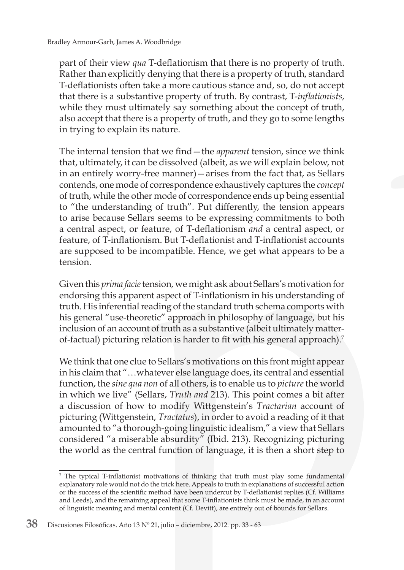part of their view *qua* T-deflationism that there is no property of truth. Rather than explicitly denying that there is a property of truth, standard T-deflationists often take a more cautious stance and, so, do not accept that there is a substantive property of truth. By contrast, T-*inflationists*, while they must ultimately say something about the concept of truth, also accept that there is a property of truth, and they go to some lengths in trying to explain its nature.

The internal tension that we find—the *apparent* tension, since we think that, ultimately, it can be dissolved (albeit, as we will explain below, not in an entirely worry-free manner)—arises from the fact that, as Sellars contends, one mode of correspondence exhaustively captures the *concept* of truth, while the other mode of correspondence ends up being essential to "the understanding of truth". Put differently, the tension appears to arise because Sellars seems to be expressing commitments to both a central aspect, or feature, of T-deflationism *and* a central aspect, or feature, of T-inflationism. But T-deflationist and T-inflationist accounts are supposed to be incompatible. Hence, we get what appears to be a tension.

Given this *prima facie* tension, we might ask about Sellars's motivation for endorsing this apparent aspect of T-inflationism in his understanding of truth. His inferential reading of the standard truth schema comports with his general "use-theoretic" approach in philosophy of language, but his inclusion of an account of truth as a substantive (albeit ultimately matterof-factual) picturing relation is harder to fit with his general approach).7

We think that one clue to Sellars's motivations on this front might appear in his claim that "…whatever else language does, its central and essential function, the *sine qua non* of all others, is to enable us to *picture* the world in which we live" (Sellars, *Truth and* 213). This point comes a bit after a discussion of how to modify Wittgenstein's *Tractarian* account of picturing (Wittgenstein, *Tractatus*), in order to avoid a reading of it that amounted to "a thorough-going linguistic idealism," a view that Sellars considered "a miserable absurdity" (Ibid. 213). Recognizing picturing the world as the central function of language, it is then a short step to

<sup>7</sup> The typical T-inflationist motivations of thinking that truth must play some fundamental explanatory role would not do the trick here. Appeals to truth in explanations of successful action or the success of the scientific method have been undercut by T-deflationist replies (Cf. Williams and Leeds), and the remaining appeal that some T-inflationists think must be made, in an account of linguistic meaning and mental content (Cf. Devitt), are entirely out of bounds for Sellars.

**<sup>38</sup>** Discusiones Filosóficas. Año 13 Nº 21, julio – diciembre, 2012. pp. 33 - 63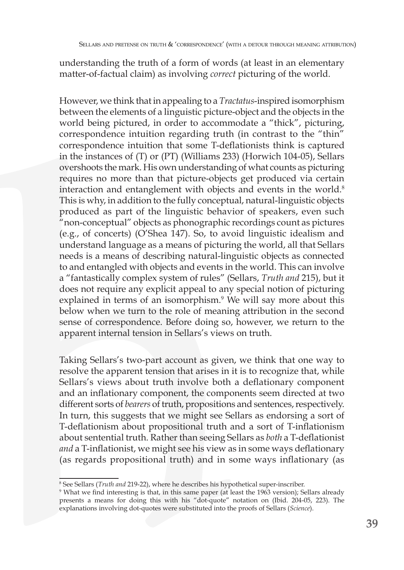understanding the truth of a form of words (at least in an elementary matter-of-factual claim) as involving *correct* picturing of the world.

However, we think that in appealing to a *Tractatus*-inspired isomorphism between the elements of a linguistic picture-object and the objects in the world being pictured, in order to accommodate a "thick", picturing, correspondence intuition regarding truth (in contrast to the "thin" correspondence intuition that some T-deflationists think is captured in the instances of (T) or (PT) (Williams 233) (Horwich 104-05), Sellars overshoots the mark. His own understanding of what counts as picturing requires no more than that picture-objects get produced via certain interaction and entanglement with objects and events in the world.<sup>8</sup> This is why, in addition to the fully conceptual, natural-linguistic objects produced as part of the linguistic behavior of speakers, even such " non-conceptual" objects as phonographic recordings count as pictures (e.g., of concerts) (O'Shea 147). So, to avoid linguistic idealism and understand language as a means of picturing the world, all that Sellars needs is a means of describing natural-linguistic objects as connected to and entangled with objects and events in the world. This can involve a "fantastically complex system of rules" (Sellars, *Truth and* 215), but it does not require any explicit appeal to any special notion of picturing explained in terms of an isomorphism.<sup>9</sup> We will say more about this below when we turn to the role of meaning attribution in the second sense of correspondence. Before doing so, however, we return to the apparent internal tension in Sellars's views on truth.

Taking Sellars's two-part account as given, we think that one way to resolve the apparent tension that arises in it is to recognize that, while Sellars's views about truth involve both a deflationary component and an inflationary component, the components seem directed at two different sorts of *bearers* of truth, propositions and sentences, respectively. In turn, this suggests that we might see Sellars as endorsing a sort of T-deflationism about propositional truth and a sort of T-inflationism about sentential truth. Rather than seeing Sellars as *both* a T-deflationist *and* a T-inflationist, we might see his view as in some ways deflationary (as regards propositional truth) and in some ways inflationary (as

<sup>8</sup> See Sellars (*Truth and* 219-22), where he describes his hypothetical super-inscriber.

<sup>9</sup> What we find interesting is that, in this same paper (at least the 1963 version); Sellars already presents a means for doing this with his "dot-quote" notation on (Ibid. 204-05, 223). The explanations involving dot-quotes were substituted into the proofs of Sellars (*Science*).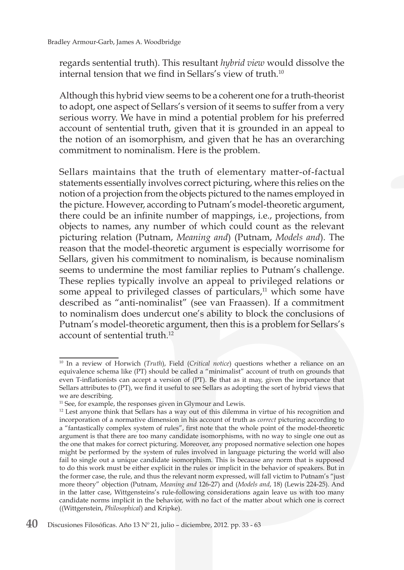regards sentential truth). This resultant *hybrid view* would dissolve the internal tension that we find in Sellars's view of truth.10

Although this hybrid view seems to be a coherent one for a truth-theorist to adopt, one aspect of Sellars's version of it seems to suffer from a very serious worry. We have in mind a potential problem for his preferred account of sentential truth, given that it is grounded in an appeal to the notion of an isomorphism, and given that he has an overarching commitment to nominalism. Here is the problem.

Sellars maintains that the truth of elementary matter-of-factual statements essentially involves correct picturing, where this relies on the notion of a projection from the objects pictured to the names employed in the picture. However, according to Putnam's model-theoretic argument, there could be an infinite number of mappings, i.e., projections, from objects to names, any number of which could count as the relevant picturing relation (Putnam, *Meaning and*) (Putnam, *Models and*). The reason that the model-theoretic argument is especially worrisome for Sellars, given his commitment to nominalism, is because nominalism seems to undermine the most familiar replies to Putnam's challenge. These replies typically involve an appeal to privileged relations or some appeal to privileged classes of particulars, $11$  which some have described as "anti-nominalist" (see van Fraassen). If a commitment to nominalism does undercut one's ability to block the conclusions of Putnam's model-theoretic argument, then this is a problem for Sellars's account of sentential truth.<sup>12</sup>

<sup>10</sup> In a review of Horwich (*Truth*), Field (*Critical notice*) questions whether a reliance on an equivalence schema like (PT) should be called a "minimalist" account of truth on grounds that even T-inflationists can accept a version of (PT). Be that as it may, given the importance that Sellars attributes to (PT), we find it useful to see Sellars as adopting the sort of hybrid views that we are describing.

<sup>&</sup>lt;sup>11</sup> See, for example, the responses given in Glymour and Lewis.

<sup>&</sup>lt;sup>12</sup> Lest anyone think that Sellars has a way out of this dilemma in virtue of his recognition and incorporation of a normative dimension in his account of truth as *correct* picturing according to a "fantastically complex system of rules", first note that the whole point of the model-theoretic argument is that there are too many candidate isomorphisms, with no way to single one out as the one that makes for correct picturing. Moreover, any proposed normative selection one hopes might be performed by the system of rules involved in language picturing the world will also fail to single out a unique candidate isomorphism. This is because any norm that is supposed to do this work must be either explicit in the rules or implicit in the behavior of speakers. But in the former case, the rule, and thus the relevant norm expressed, will fall victim to Putnam's "just more theory" objection (Putnam, *Meaning and* 126-27) and (*Models and*, 18) (Lewis 224-25). And in the latter case, Wittgensteins's rule-following considerations again leave us with too many candidate norms implicit in the behavior, with no fact of the matter about which one is correct ((Wittgenstein, *Philosophical*) and Kripke).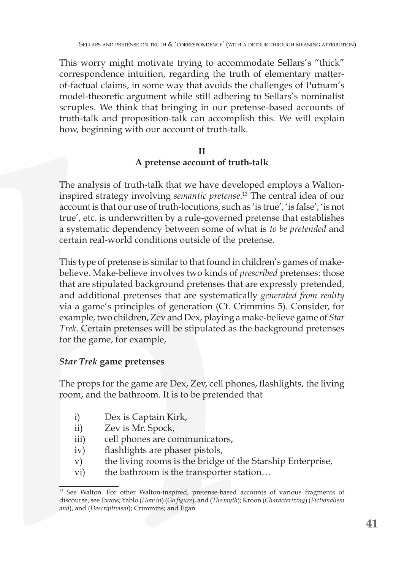This worry might motivate trying to accommodate Sellars's "thick" correspondence intuition, regarding the truth of elementary matterof-factual claims, in some way that avoids the challenges of Putnam's model-theoretic argument while still adhering to Sellars's nominalist scruples. We think that bringing in our pretense-based accounts of truth-talk and proposition-talk can accomplish this. We will explain how, beginning with our account of truth-talk.

## **II A pretense account of truth-talk**

The analysis of truth-talk that we have developed employs a Waltoninspired strategy involving *semantic pretense*. 13 The central idea of our account is that our use of truth-locutions, such as 'is true', 'is false', 'is not true', etc. is underwritten by a rule-governed pretense that establishes a systematic dependency between some of what is *to be pretended* and certain real-world conditions outside of the pretense.

This type of pretense is similar to that found in children's games of makebelieve. Make-believe involves two kinds of *prescribed* pretenses: those that are stipulated background pretenses that are expressly pretended, and additional pretenses that are systematically *generated from reality* via a game's principles of generation (Cf. Crimmins 5). Consider, for example, two children, Zev and Dex, playing a make-believe game of *Star Trek*. Certain pretenses will be stipulated as the background pretenses for the game, for example,

## *Star Trek* **game pretenses**

The props for the game are Dex, Zev, cell phones, flashlights, the living room, and the bathroom. It is to be pretended that

- i) Dex is Captain Kirk,
- ii) Zev is Mr. Spock,
- iii) cell phones are communicators,
- iv) flashlights are phaser pistols,
- v) the living rooms is the bridge of the Starship Enterprise,
- vi) the bathroom is the transporter station…

<sup>&</sup>lt;sup>13</sup> See Walton. For other Walton-inspired, pretense-based accounts of various fragments of discourse, see Evans; Yablo (*How in*) (*Go figure*), and (*The myth*); Kroon (*Characterizing*) (*Fictionalism and*), and (*Descriptivism*); Crimmins; and Egan.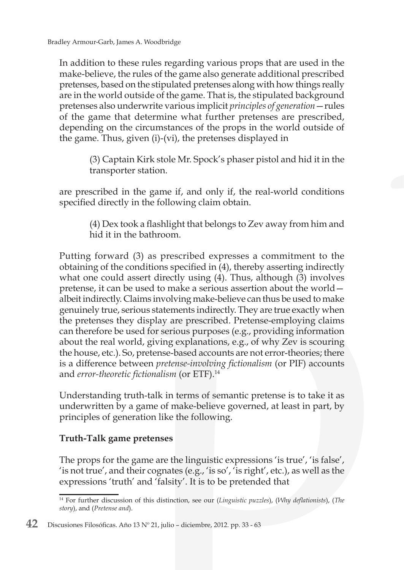In addition to these rules regarding various props that are used in the make-believe, the rules of the game also generate additional prescribed pretenses, based on the stipulated pretenses along with how things really are in the world outside of the game. That is, the stipulated background pretenses also underwrite various implicit *principles of generation*—rules of the game that determine what further pretenses are prescribed, depending on the circumstances of the props in the world outside of the game. Thus, given (i)-(vi), the pretenses displayed in

> (3) Captain Kirk stole Mr. Spock's phaser pistol and hid it in the transporter station.

are prescribed in the game if, and only if, the real-world conditions specified directly in the following claim obtain.

> (4) Dex took a flashlight that belongs to Zev away from him and hid it in the bathroom.

Putting forward (3) as prescribed expresses a commitment to the obtaining of the conditions specified in (4), thereby asserting indirectly what one could assert directly using (4). Thus, although (3) involves pretense, it can be used to make a serious assertion about the world albeit indirectly. Claims involving make-believe can thus be used to make genuinely true, serious statements indirectly. They are true exactly when the pretenses they display are prescribed. Pretense-employing claims can therefore be used for serious purposes (e.g., providing information about the real world, giving explanations, e.g., of why Zev is scouring the house, etc.). So, pretense-based accounts are not error-theories; there is a difference between *pretense-involving fictionalism* (or PIF) accounts and *error-theoretic fictionalism* (or ETF).14

Understanding truth-talk in terms of semantic pretense is to take it as underwritten by a game of make-believe governed, at least in part, by principles of generation like the following.

## **Truth-Talk game pretenses**

The props for the game are the linguistic expressions 'is true', 'is false', 'is not true', and their cognates (e.g., 'is so', 'is right', etc.), as well as the expressions 'truth' and 'falsity'. It is to be pretended that

<sup>14</sup> For further discussion of this distinction, see our (*Linguistic puzzles*), (*Why deflationists*), (*The story*), and (*Pretense and*).

**<sup>42</sup>** Discusiones Filosóficas. Año 13 Nº 21, julio – diciembre, 2012. pp. 33 - 63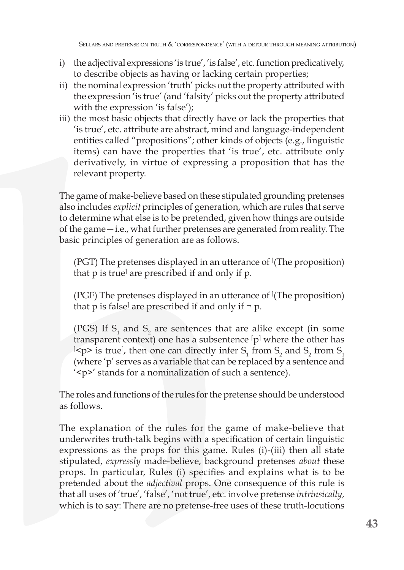- i) the adjectival expressions 'is true', 'is false', etc. function predicatively, to describe objects as having or lacking certain properties;
- ii) the nominal expression 'truth' picks out the property attributed with the expression 'is true' (and 'falsity' picks out the property attributed with the expression 'is false');
- iii) the most basic objects that directly have or lack the properties that 'is true', etc. attribute are abstract, mind and language-independent entities called "propositions"; other kinds of objects (e.g., linguistic items) can have the properties that 'is true', etc. attribute only derivatively, in virtue of expressing a proposition that has the relevant property.

The game of make-believe based on these stipulated grounding pretenses also includes *explicit* principles of generation, which are rules that serve to determine what else is to be pretended, given how things are outside of the game—i.e., what further pretenses are generated from reality. The basic principles of generation are as follows.

 $(PGT)$  The pretenses displayed in an utterance of  $(The$  proposition) that p is true<sup>|</sup> are prescribed if and only if p.

(PGF) The pretenses displayed in an utterance of  $\Gamma$  (The proposition) that p is false<sup> $\vert$ </sup> are prescribed if and only if  $\neg$  p.

(PGS) If  $S_1$  and  $S_2$  are sentences that are alike except (in some transparent context) one has a subsentence  $[p]$  where the other has  $\{p\}$  is true, then one can directly infer S<sub>1</sub> from S<sub>2</sub> and S<sub>2</sub> from S<sub>1</sub> (where 'p' serves as a variable that can be replaced by a sentence and '<p>' stands for a nominalization of such a sentence).

The roles and functions of the rules for the pretense should be understood as follows.

The explanation of the rules for the game of make-believe that underwrites truth-talk begins with a specification of certain linguistic expressions as the props for this game. Rules (i)-(iii) then all state stipulated, *expressly* made-believe, background pretenses *about* these props. In particular, Rules (i) specifies and explains what is to be pretended about the *adjectival* props. One consequence of this rule is that all uses of 'true', 'false', 'not true', etc. involve pretense *intrinsically*, which is to say: There are no pretense-free uses of these truth-locutions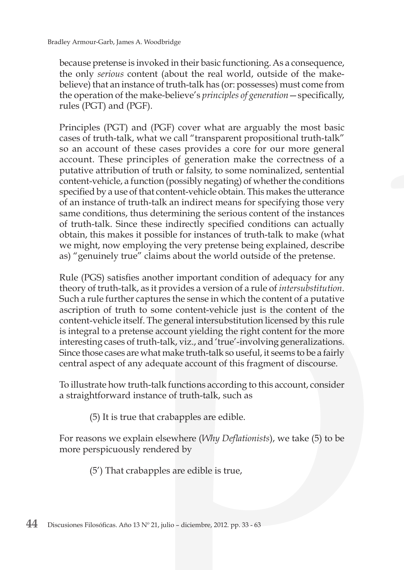because pretense is invoked in their basic functioning. As a consequence, the only *serious* content (about the real world, outside of the makebelieve) that an instance of truth-talk has (or: possesses) must come from the operation of the make-believe's *principles of generation*—specifically, rules (PGT) and (PGF).

Principles (PGT) and (PGF) cover what are arguably the most basic cases of truth-talk, what we call "transparent propositional truth-talk" so an account of these cases provides a core for our more general account. These principles of generation make the correctness of a putative attribution of truth or falsity, to some nominalized, sentential content-vehicle, a function (possibly negating) of whether the conditions specified by a use of that content-vehicle obtain. This makes the utterance of an instance of truth-talk an indirect means for specifying those very same conditions, thus determining the serious content of the instances of truth-talk. Since these indirectly specified conditions can actually obtain, this makes it possible for instances of truth-talk to make (what we might, now employing the very pretense being explained, describe as) "genuinely true" claims about the world outside of the pretense.

Rule (PGS) satisfies another important condition of adequacy for any theory of truth-talk, as it provides a version of a rule of *intersubstitution*. Such a rule further captures the sense in which the content of a putative ascription of truth to some content-vehicle just is the content of the content-vehicle itself. The general intersubstitution licensed by this rule is integral to a pretense account yielding the right content for the more interesting cases of truth-talk, viz., and 'true'-involving generalizations. Since those cases are what make truth-talk so useful, it seems to be a fairly central aspect of any adequate account of this fragment of discourse.

To illustrate how truth-talk functions according to this account, consider a straightforward instance of truth-talk, such as

(5) It is true that crabapples are edible.

For reasons we explain elsewhere (*Why Deflationists*), we take (5) to be more perspicuously rendered by

(5') That crabapples are edible is true,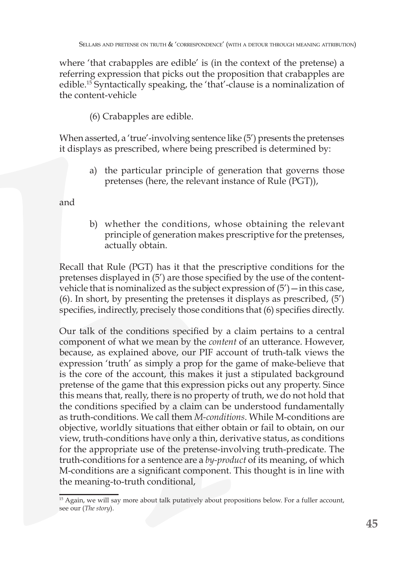where 'that crabapples are edible' is (in the context of the pretense) a referring expression that picks out the proposition that crabapples are edible.15 Syntactically speaking, the 'that'-clause is a nominalization of the content-vehicle

(6) Crabapples are edible.

When asserted, a 'true'-involving sentence like (5') presents the pretenses it displays as prescribed, where being prescribed is determined by:

> a) the particular principle of generation that governs those pretenses (here, the relevant instance of Rule (PGT)),

and

b) whether the conditions, whose obtaining the relevant principle of generation makes prescriptive for the pretenses, actually obtain.

Recall that Rule (PGT) has it that the prescriptive conditions for the pretenses displayed in (5') are those specified by the use of the contentvehicle that is nominalized as the subject expression of (5')—in this case, (6). In short, by presenting the pretenses it displays as prescribed, (5') specifies, indirectly, precisely those conditions that (6) specifies directly.

Our talk of the conditions specified by a claim pertains to a central component of what we mean by the *content* of an utterance. However, because, as explained above, our PIF account of truth-talk views the expression 'truth' as simply a prop for the game of make-believe that is the core of the account, this makes it just a stipulated background pretense of the game that this expression picks out any property. Since this means that, really, there is no property of truth, we do not hold that the conditions specified by a claim can be understood fundamentally as truth-conditions. We call them *M-conditions*. While M-conditions are objective, worldly situations that either obtain or fail to obtain, on our view, truth-conditions have only a thin, derivative status, as conditions for the appropriate use of the pretense-involving truth-predicate. The truth-conditions for a sentence are a *by-product* of its meaning, of which M-conditions are a significant component. This thought is in line with the meaning-to-truth conditional,

<sup>&</sup>lt;sup>15</sup> Again, we will say more about talk putatively about propositions below. For a fuller account, see our (*The story*).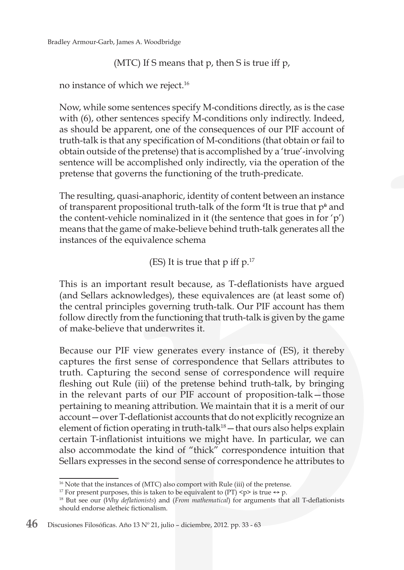(MTC) If S means that p, then S is true iff p,

no instance of which we reject.16

Now, while some sentences specify M-conditions directly, as is the case with (6), other sentences specify M-conditions only indirectly. Indeed, as should be apparent, one of the consequences of our PIF account of truth-talk is that any specification of M-conditions (that obtain or fail to obtain outside of the pretense) that is accomplished by a 'true'-involving sentence will be accomplished only indirectly, via the operation of the pretense that governs the functioning of the truth-predicate.

The resulting, quasi-anaphoric, identity of content between an instance of transparent propositional truth-talk of the form <sup>e</sup>It is true that p<sup></sup> and the content-vehicle nominalized in it (the sentence that goes in for 'p') means that the game of make-believe behind truth-talk generates all the instances of the equivalence schema

(ES) It is true that  $p$  iff  $p$ .<sup>17</sup>

This is an important result because, as T-deflationists have argued (and Sellars acknowledges), these equivalences are (at least some of) the central principles governing truth-talk. Our PIF account has them follow directly from the functioning that truth-talk is given by the game of make-believe that underwrites it.

Because our PIF view generates every instance of (ES), it thereby captures the first sense of correspondence that Sellars attributes to truth. Capturing the second sense of correspondence will require fleshing out Rule (iii) of the pretense behind truth-talk, by bringing in the relevant parts of our PIF account of proposition-talk—those pertaining to meaning attribution. We maintain that it is a merit of our account—over T-deflationist accounts that do not explicitly recognize an element of fiction operating in truth-tal $k^{18}$  – that ours also helps explain certain T-inflationist intuitions we might have. In particular, we can also accommodate the kind of "thick" correspondence intuition that Sellars expresses in the second sense of correspondence he attributes to

<sup>&</sup>lt;sup>16</sup> Note that the instances of (MTC) also comport with Rule (iii) of the pretense.

<sup>&</sup>lt;sup>17</sup> For present purposes, this is taken to be equivalent to (PT)  $\langle p \rangle$  is true  $\leftrightarrow p$ .

<sup>18</sup> But see our (*Why deflationists*) and (*From mathematical*) for arguments that all T-deflationists should endorse aletheic fictionalism.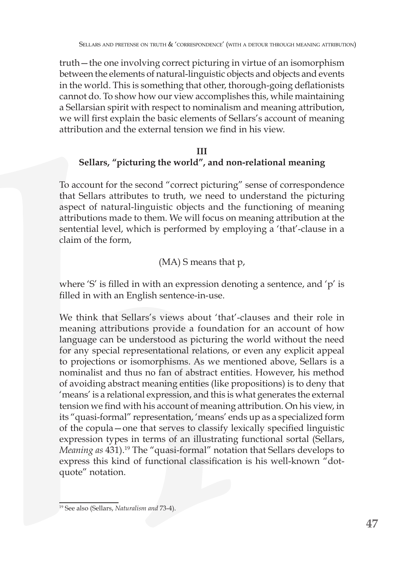truth—the one involving correct picturing in virtue of an isomorphism between the elements of natural-linguistic objects and objects and events in the world. This is something that other, thorough-going deflationists cannot do. To show how our view accomplishes this, while maintaining a Sellarsian spirit with respect to nominalism and meaning attribution, we will first explain the basic elements of Sellars's account of meaning attribution and the external tension we find in his view.

## **III Sellars, "picturing the world", and non-relational meaning**

To account for the second "correct picturing" sense of correspondence that Sellars attributes to truth, we need to understand the picturing aspect of natural-linguistic objects and the functioning of meaning attributions made to them. We will focus on meaning attribution at the sentential level, which is performed by employing a 'that'-clause in a claim of the form,

## (MA) S means that p,

where 'S' is filled in with an expression denoting a sentence, and 'p' is filled in with an English sentence-in-use.

We think that Sellars's views about 'that'-clauses and their role in meaning attributions provide a foundation for an account of how language can be understood as picturing the world without the need for any special representational relations, or even any explicit appeal to projections or isomorphisms. As we mentioned above, Sellars is a nominalist and thus no fan of abstract entities. However, his method of avoiding abstract meaning entities (like propositions) is to deny that 'means' is a relational expression, and this is what generates the external tension we find with his account of meaning attribution. On his view, in its "quasi-formal" representation, 'means' ends up as a specialized form of the copula—one that serves to classify lexically specified linguistic expression types in terms of an illustrating functional sortal (Sellars, *Meaning as* 431).19 The "quasi-formal" notation that Sellars develops to express this kind of functional classification is his well-known "dotquote" notation.

<sup>19</sup> See also (Sellars, *Naturalism and* 73-4).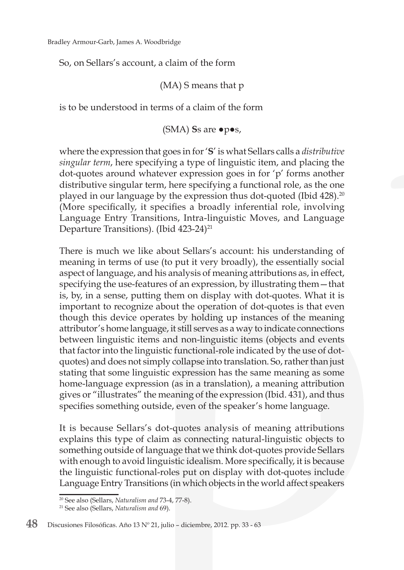So, on Sellars's account, a claim of the form

(MA) S means that p

is to be understood in terms of a claim of the form

(SMA) **S**s are ●p●s,

where the expression that goes in for '**S**' is what Sellars calls a *distributive singular term*, here specifying a type of linguistic item, and placing the dot-quotes around whatever expression goes in for 'p' forms another distributive singular term, here specifying a functional role, as the one played in our language by the expression thus dot-quoted (Ibid 428).<sup>20</sup> (More specifically, it specifies a broadly inferential role, involving Language Entry Transitions, Intra-linguistic Moves, and Language Departure Transitions). (Ibid  $423-24$ )<sup>21</sup>

There is much we like about Sellars's account: his understanding of meaning in terms of use (to put it very broadly), the essentially social aspect of language, and his analysis of meaning attributions as, in effect, specifying the use-features of an expression, by illustrating them—that is, by, in a sense, putting them on display with dot-quotes. What it is important to recognize about the operation of dot-quotes is that even though this device operates by holding up instances of the meaning attributor's home language, it still serves as a way to indicate connections between linguistic items and non-linguistic items (objects and events that factor into the linguistic functional-role indicated by the use of dotquotes) and does not simply collapse into translation. So, rather than just stating that some linguistic expression has the same meaning as some home-language expression (as in a translation), a meaning attribution gives or "illustrates" the meaning of the expression (Ibid. 431), and thus specifies something outside, even of the speaker's home language.

It is because Sellars's dot-quotes analysis of meaning attributions explains this type of claim as connecting natural-linguistic objects to something outside of language that we think dot-quotes provide Sellars with enough to avoid linguistic idealism. More specifically, it is because the linguistic functional-roles put on display with dot-quotes include Language Entry Transitions (in which objects in the world affect speakers

<sup>20</sup> See also (Sellars, *Naturalism and* 73-4, 77-8).

<sup>21</sup> See also (Sellars, *Naturalism and* 69).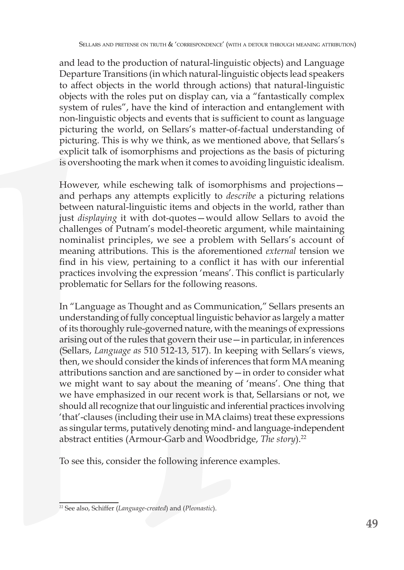and lead to the production of natural-linguistic objects) and Language Departure Transitions (in which natural-linguistic objects lead speakers to affect objects in the world through actions) that natural-linguistic objects with the roles put on display can, via a "fantastically complex system of rules", have the kind of interaction and entanglement with non-linguistic objects and events that is sufficient to count as language picturing the world, on Sellars's matter-of-factual understanding of picturing. This is why we think, as we mentioned above, that Sellars's explicit talk of isomorphisms and projections as the basis of picturing is overshooting the mark when it comes to avoiding linguistic idealism.

However, while eschewing talk of isomorphisms and projections and perhaps any attempts explicitly to *describe* a picturing relations between natural-linguistic items and objects in the world, rather than just *displaying* it with dot-quotes—would allow Sellars to avoid the challenges of Putnam's model-theoretic argument, while maintaining nominalist principles, we see a problem with Sellars's account of meaning attributions. This is the aforementioned *external* tension we find in his view, pertaining to a conflict it has with our inferential practices involving the expression 'means'. This conflict is particularly problematic for Sellars for the following reasons.

In "Language as Thought and as Communication," Sellars presents an understanding of fully conceptual linguistic behavior as largely a matter of its thoroughly rule-governed nature, with the meanings of expressions arising out of the rules that govern their use—in particular, in inferences (Sellars, *Language as* 510 512-13, 517). In keeping with Sellars's views, then, we should consider the kinds of inferences that form MA meaning attributions sanction and are sanctioned by—in order to consider what we might want to say about the meaning of 'means'. One thing that we have emphasized in our recent work is that, Sellarsians or not, we should all recognize that our linguistic and inferential practices involving 'that'-clauses (including their use in MA claims) treat these expressions as singular terms, putatively denoting mind- and language-independent abstract entities (Armour-Garb and Woodbridge, *The story*).<sup>22</sup>

To see this, consider the following inference examples.

<sup>22</sup> See also, Schiffer (*Language-created*) and (*Pleonastic*).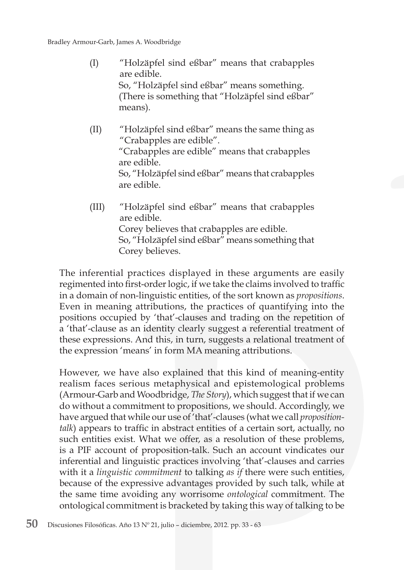- (I) "Holzäpfel sind eßbar" means that crabapples are edible. So, "Holzäpfel sind eßbar" means something. (There is something that "Holzäpfel sind eßbar" means).
- (II) "Holzäpfel sind eßbar" means the same thing as "Crabapples are edible". "Crabapples are edible" means that crabapples are edible. So, "Holzäpfel sind eßbar" means that crabapples are edible.
- (III) "Holzäpfel sind eßbar" means that crabapples are edible. Corey believes that crabapples are edible. So, "Holzäpfel sind eßbar" means something that Corey believes.

The inferential practices displayed in these arguments are easily regimented into first-order logic, if we take the claims involved to traffic in a domain of non-linguistic entities, of the sort known as *propositions*. Even in meaning attributions, the practices of quantifying into the positions occupied by 'that'-clauses and trading on the repetition of a 'that'-clause as an identity clearly suggest a referential treatment of these expressions. And this, in turn, suggests a relational treatment of the expression 'means' in form MA meaning attributions.

However, we have also explained that this kind of meaning-entity realism faces serious metaphysical and epistemological problems (Armour-Garb and Woodbridge, *The Story*), which suggest that if we can do without a commitment to propositions, we should. Accordingly, we have argued that while our use of 'that'-clauses (what we call *propositiontalk*) appears to traffic in abstract entities of a certain sort, actually, no such entities exist. What we offer, as a resolution of these problems, is a PIF account of proposition-talk. Such an account vindicates our inferential and linguistic practices involving 'that'-clauses and carries with it a *linguistic commitment* to talking *as if* there were such entities, because of the expressive advantages provided by such talk, while at the same time avoiding any worrisome *ontological* commitment. The ontological commitment is bracketed by taking this way of talking to be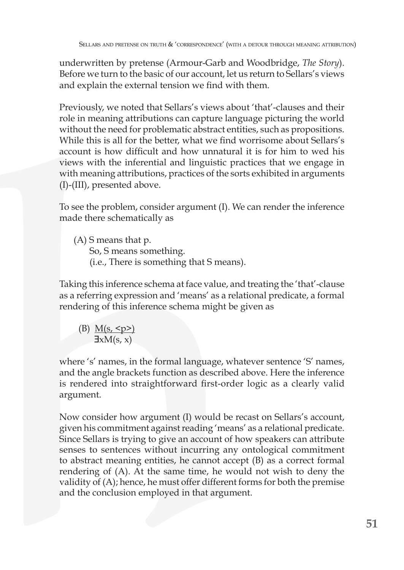underwritten by pretense (Armour-Garb and Woodbridge, *The Story*). Before we turn to the basic of our account, let us return to Sellars's views and explain the external tension we find with them.

Previously, we noted that Sellars's views about 'that'-clauses and their role in meaning attributions can capture language picturing the world without the need for problematic abstract entities, such as propositions. While this is all for the better, what we find worrisome about Sellars's account is how difficult and how unnatural it is for him to wed his views with the inferential and linguistic practices that we engage in with meaning attributions, practices of the sorts exhibited in arguments (I)-(III), presented above.

To see the problem, consider argument (I). We can render the inference made there schematically as

(A) S means that p. So, S means something. (i.e., There is something that S means).

Taking this inference schema at face value, and treating the 'that'-clause as a referring expression and 'means' as a relational predicate, a formal rendering of this inference schema might be given as

(B)  $M(s, \le p>$ )  $\exists x M(s, x)$ 

where 's' names, in the formal language, whatever sentence 'S' names, and the angle brackets function as described above. Here the inference is rendered into straightforward first-order logic as a clearly valid argument.

Now consider how argument (I) would be recast on Sellars's account, given his commitment against reading 'means' as a relational predicate. Since Sellars is trying to give an account of how speakers can attribute senses to sentences without incurring any ontological commitment to abstract meaning entities, he cannot accept (B) as a correct formal rendering of (A). At the same time, he would not wish to deny the validity of (A); hence, he must offer different forms for both the premise and the conclusion employed in that argument.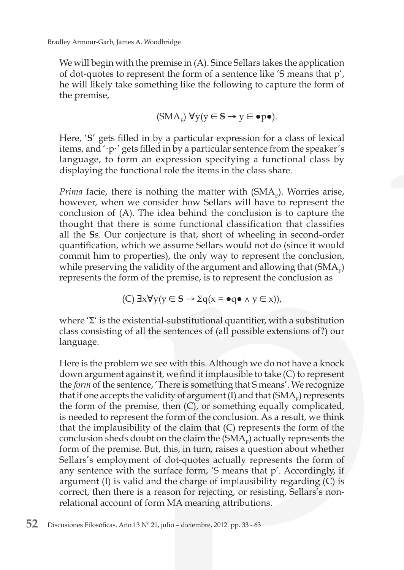We will begin with the premise in (A). Since Sellars takes the application of dot-quotes to represent the form of a sentence like 'S means that p', he will likely take something like the following to capture the form of the premise,

$$
(\mathrm{SMA}_{F})\ \forall y(y\in S\rightarrow y\in \bullet p\bullet).
$$

Here, '**S**' gets filled in by a particular expression for a class of lexical items, and '·p·' gets filled in by a particular sentence from the speaker's language, to form an expression specifying a functional class by displaying the functional role the items in the class share.

*Prima facie, there is nothing the matter with*  $(SMA<sub>F</sub>)$ *. Worries arise,* however, when we consider how Sellars will have to represent the conclusion of (A). The idea behind the conclusion is to capture the thought that there is some functional classification that classifies all the **S**s. Our conjecture is that, short of wheeling in second-order quantification, which we assume Sellars would not do (since it would commit him to properties), the only way to represent the conclusion, while preserving the validity of the argument and allowing that  $(SMA<sub>F</sub>)$ represents the form of the premise, is to represent the conclusion as

(C) 
$$
\exists x \forall y (y \in S \rightarrow \Sigma q (x = \bullet q \bullet \land y \in x)),
$$

where  $\Sigma'$  is the existential-substitutional quantifier, with a substitution class consisting of all the sentences of (all possible extensions of?) our language.

Here is the problem we see with this. Although we do not have a knock down argument against it, we find it implausible to take (C) to represent the *form* of the sentence, 'There is something that S means'. We recognize that if one accepts the validity of argument  $(I)$  and that  $(SMA<sub>F</sub>)$  represents the form of the premise, then (C), or something equally complicated, is needed to represent the form of the conclusion. As a result, we think that the implausibility of the claim that (C) represents the form of the conclusion sheds doubt on the claim the  $(SMA<sub>F</sub>)$  actually represents the form of the premise. But, this, in turn, raises a question about whether Sellars's employment of dot-quotes actually represents the form of any sentence with the surface form, 'S means that p'. Accordingly, if argument (I) is valid and the charge of implausibility regarding (C) is correct, then there is a reason for rejecting, or resisting, Sellars's nonrelational account of form MA meaning attributions.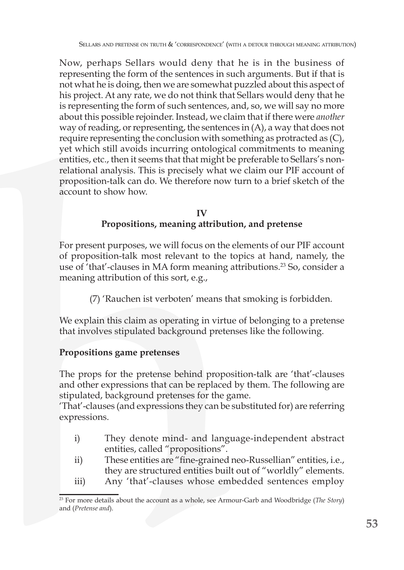Now, perhaps Sellars would deny that he is in the business of representing the form of the sentences in such arguments. But if that is not what he is doing, then we are somewhat puzzled about this aspect of his project. At any rate, we do not think that Sellars would deny that he is representing the form of such sentences, and, so, we will say no more about this possible rejoinder. Instead, we claim that if there were *another*  way of reading, or representing, the sentences in (A), a way that does not require representing the conclusion with something as protracted as (C), yet which still avoids incurring ontological commitments to meaning entities, etc., then it seems that that might be preferable to Sellars's nonrelational analysis. This is precisely what we claim our PIF account of proposition-talk can do. We therefore now turn to a brief sketch of the account to show how.

#### **IV Propositions, meaning attribution, and pretense**

For present purposes, we will focus on the elements of our PIF account of proposition-talk most relevant to the topics at hand, namely, the use of 'that'-clauses in MA form meaning attributions.<sup>23</sup> So, consider a meaning attribution of this sort, e.g.,

(7) 'Rauchen ist verboten' means that smoking is forbidden.

We explain this claim as operating in virtue of belonging to a pretense that involves stipulated background pretenses like the following.

## **Propositions game pretenses**

The props for the pretense behind proposition-talk are 'that'-clauses and other expressions that can be replaced by them. The following are stipulated, background pretenses for the game.

'That'-clauses (and expressions they can be substituted for) are referring expressions.

- i) They denote mind- and language-independent abstract entities, called "propositions".
- ii) These entities are "fine-grained neo-Russellian" entities, i.e., they are structured entities built out of "worldly" elements.
- iii) Any 'that'-clauses whose embedded sentences employ

<sup>23</sup> For more details about the account as a whole, see Armour-Garb and Woodbridge (*The Story*) and (*Pretense and*).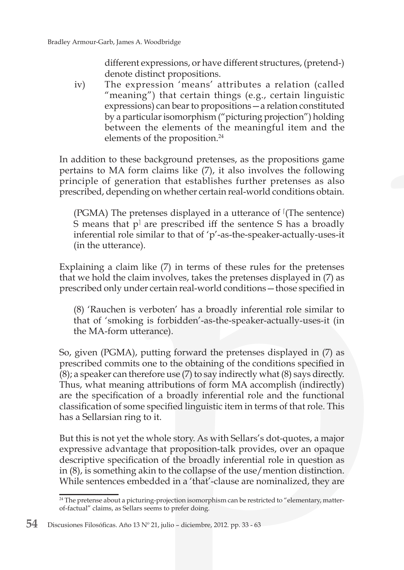different expressions, or have different structures, (pretend-) denote distinct propositions.

iv) The expression 'means' attributes a relation (called "meaning") that certain things (e.g., certain linguistic expressions) can bear to propositions—a relation constituted by a particular isomorphism ("picturing projection") holding between the elements of the meaningful item and the elements of the proposition.<sup>24</sup>

In addition to these background pretenses, as the propositions game pertains to MA form claims like (7), it also involves the following principle of generation that establishes further pretenses as also prescribed, depending on whether certain real-world conditions obtain.

 $(PGMA)$  The pretenses displayed in a utterance of  $(The sentence)$ S means that p<sup>†</sup> are prescribed iff the sentence S has a broadly inferential role similar to that of 'p'-as-the-speaker-actually-uses-it (in the utterance).

Explaining a claim like (7) in terms of these rules for the pretenses that we hold the claim involves, takes the pretenses displayed in (7) as prescribed only under certain real-world conditions—those specified in

(8) 'Rauchen is verboten' has a broadly inferential role similar to that of 'smoking is forbidden'-as-the-speaker-actually-uses-it (in the MA-form utterance).

So, given (PGMA), putting forward the pretenses displayed in (7) as prescribed commits one to the obtaining of the conditions specified in (8); a speaker can therefore use (7) to say indirectly what (8) says directly. Thus, what meaning attributions of form MA accomplish (indirectly) are the specification of a broadly inferential role and the functional classification of some specified linguistic item in terms of that role. This has a Sellarsian ring to it.

But this is not yet the whole story. As with Sellars's dot-quotes, a major expressive advantage that proposition-talk provides, over an opaque descriptive specification of the broadly inferential role in question as in (8), is something akin to the collapse of the use/mention distinction. While sentences embedded in a 'that'-clause are nominalized, they are

<sup>&</sup>lt;sup>24</sup> The pretense about a picturing-projection isomorphism can be restricted to "elementary, matterof-factual" claims, as Sellars seems to prefer doing.

**<sup>54</sup>** Discusiones Filosóficas. Año 13 Nº 21, julio – diciembre, 2012. pp. 33 - 63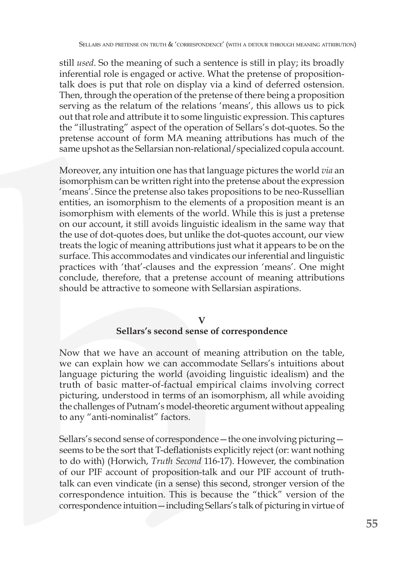still *used*. So the meaning of such a sentence is still in play; its broadly inferential role is engaged or active. What the pretense of propositiontalk does is put that role on display via a kind of deferred ostension. Then, through the operation of the pretense of there being a proposition serving as the relatum of the relations 'means', this allows us to pick out that role and attribute it to some linguistic expression. This captures the "illustrating" aspect of the operation of Sellars's dot-quotes. So the pretense account of form MA meaning attributions has much of the same upshot as the Sellarsian non-relational/specialized copula account.

Moreover, any intuition one has that language pictures the world *via* an isomorphism can be written right into the pretense about the expression 'means'. Since the pretense also takes propositions to be neo-Russellian entities, an isomorphism to the elements of a proposition meant is an isomorphism with elements of the world. While this is just a pretense on our account, it still avoids linguistic idealism in the same way that the use of dot-quotes does, but unlike the dot-quotes account, our view treats the logic of meaning attributions just what it appears to be on the surface. This accommodates and vindicates our inferential and linguistic practices with 'that'-clauses and the expression 'means'. One might conclude, therefore, that a pretense account of meaning attributions should be attractive to someone with Sellarsian aspirations.

## **V**

## **Sellars's second sense of correspondence**

Now that we have an account of meaning attribution on the table, we can explain how we can accommodate Sellars's intuitions about language picturing the world (avoiding linguistic idealism) and the truth of basic matter-of-factual empirical claims involving correct picturing, understood in terms of an isomorphism, all while avoiding the challenges of Putnam's model-theoretic argument without appealing to any "anti-nominalist" factors.

Sellars's second sense of correspondence—the one involving picturing seems to be the sort that T-deflationists explicitly reject (or: want nothing to do with) (Horwich, *Truth Second* 116-17). However, the combination of our PIF account of proposition-talk and our PIF account of truthtalk can even vindicate (in a sense) this second, stronger version of the correspondence intuition. This is because the "thick" version of the correspondence intuition—including Sellars's talk of picturing in virtue of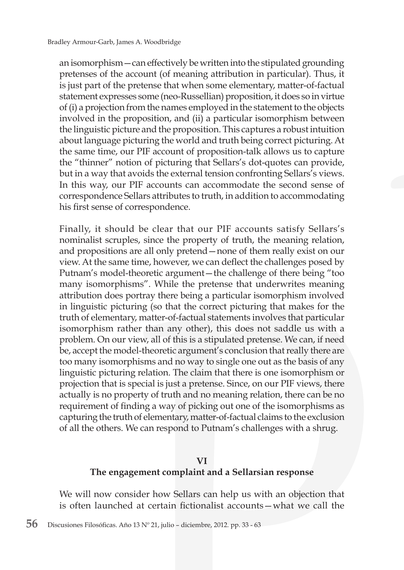an isomorphism—can effectively be written into the stipulated grounding pretenses of the account (of meaning attribution in particular). Thus, it is just part of the pretense that when some elementary, matter-of-factual statement expresses some (neo-Russellian) proposition, it does so in virtue of (i) a projection from the names employed in the statement to the objects involved in the proposition, and (ii) a particular isomorphism between the linguistic picture and the proposition. This captures a robust intuition about language picturing the world and truth being correct picturing. At the same time, our PIF account of proposition-talk allows us to capture the "thinner" notion of picturing that Sellars's dot-quotes can provide, but in a way that avoids the external tension confronting Sellars's views. In this way, our PIF accounts can accommodate the second sense of correspondence Sellars attributes to truth, in addition to accommodating his first sense of correspondence.

Finally, it should be clear that our PIF accounts satisfy Sellars's nominalist scruples, since the property of truth, the meaning relation, and propositions are all only pretend—none of them really exist on our view. At the same time, however, we can deflect the challenges posed by Putnam's model-theoretic argument—the challenge of there being "too many isomorphisms". While the pretense that underwrites meaning attribution does portray there being a particular isomorphism involved in linguistic picturing (so that the correct picturing that makes for the truth of elementary, matter-of-factual statements involves that particular isomorphism rather than any other), this does not saddle us with a problem. On our view, all of this is a stipulated pretense. We can, if need be, accept the model-theoretic argument's conclusion that really there are too many isomorphisms and no way to single one out as the basis of any linguistic picturing relation. The claim that there is one isomorphism or projection that is special is just a pretense. Since, on our PIF views, there actually is no property of truth and no meaning relation, there can be no requirement of finding a way of picking out one of the isomorphisms as capturing the truth of elementary, matter-of-factual claims to the exclusion of all the others. We can respond to Putnam's challenges with a shrug.

#### **VI**

## **The engagement complaint and a Sellarsian response**

We will now consider how Sellars can help us with an objection that is often launched at certain fictionalist accounts—what we call the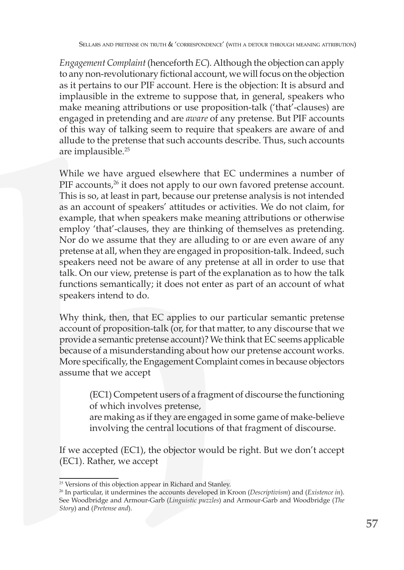*Engagement Complaint* (henceforth *EC*)*.* Although the objection can apply to any non-revolutionary fictional account, we will focus on the objection as it pertains to our PIF account. Here is the objection: It is absurd and implausible in the extreme to suppose that, in general, speakers who make meaning attributions or use proposition-talk ('that'-clauses) are engaged in pretending and are *aware* of any pretense. But PIF accounts of this way of talking seem to require that speakers are aware of and allude to the pretense that such accounts describe. Thus, such accounts are implausible.<sup>25</sup>

While we have argued elsewhere that EC undermines a number of PIF accounts,<sup>26</sup> it does not apply to our own favored pretense account. This is so, at least in part, because our pretense analysis is not intended as an account of speakers' attitudes or activities. We do not claim, for example, that when speakers make meaning attributions or otherwise employ 'that'-clauses, they are thinking of themselves as pretending. Nor do we assume that they are alluding to or are even aware of any pretense at all, when they are engaged in proposition-talk. Indeed, such speakers need not be aware of any pretense at all in order to use that talk. On our view, pretense is part of the explanation as to how the talk functions semantically; it does not enter as part of an account of what speakers intend to do.

Why think, then, that EC applies to our particular semantic pretense account of proposition-talk (or, for that matter, to any discourse that we provide a semantic pretense account)? We think that EC seems applicable because of a misunderstanding about how our pretense account works. More specifically, the Engagement Complaint comes in because objectors assume that we accept

> (EC1) Competent users of a fragment of discourse the functioning of which involves pretense,

> are making as if they are engaged in some game of make-believe involving the central locutions of that fragment of discourse.

If we accepted (EC1), the objector would be right. But we don't accept (EC1). Rather, we accept

<sup>&</sup>lt;sup>25</sup> Versions of this objection appear in Richard and Stanley.

<sup>26</sup> In particular, it undermines the accounts developed in Kroon (*Descriptivism*) and (*Existence in*). See Woodbridge and Armour-Garb (*Linguistic puzzles*) and Armour-Garb and Woodbridge (*The Story*) and (*Pretense and*).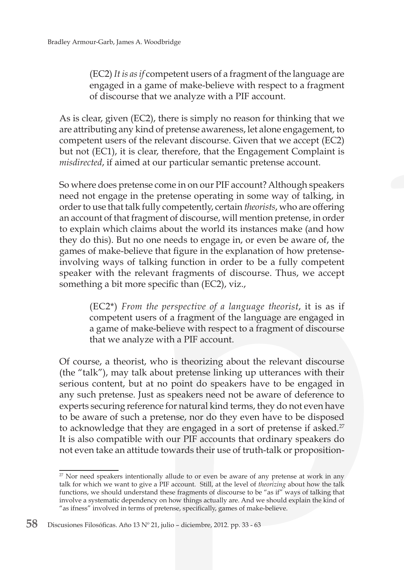(EC2) *It is as if* competent users of a fragment of the language are engaged in a game of make-believe with respect to a fragment of discourse that we analyze with a PIF account.

As is clear, given (EC2), there is simply no reason for thinking that we are attributing any kind of pretense awareness, let alone engagement, to competent users of the relevant discourse. Given that we accept (EC2) but not (EC1), it is clear, therefore, that the Engagement Complaint is *misdirected*, if aimed at our particular semantic pretense account.

So where does pretense come in on our PIF account? Although speakers need not engage in the pretense operating in some way of talking, in order to use that talk fully competently, certain *theorists*, who are offering an account of that fragment of discourse, will mention pretense, in order to explain which claims about the world its instances make (and how they do this). But no one needs to engage in, or even be aware of, the games of make-believe that figure in the explanation of how pretenseinvolving ways of talking function in order to be a fully competent speaker with the relevant fragments of discourse. Thus, we accept something a bit more specific than (EC2), viz.,

> (EC2\*) *From the perspective of a language theorist*, it is as if competent users of a fragment of the language are engaged in a game of make-believe with respect to a fragment of discourse that we analyze with a PIF account.

Of course, a theorist, who is theorizing about the relevant discourse (the "talk"), may talk about pretense linking up utterances with their serious content, but at no point do speakers have to be engaged in any such pretense. Just as speakers need not be aware of deference to experts securing reference for natural kind terms, they do not even have to be aware of such a pretense, nor do they even have to be disposed to acknowledge that they are engaged in a sort of pretense if asked.<sup>27</sup> It is also compatible with our PIF accounts that ordinary speakers do not even take an attitude towards their use of truth-talk or proposition-

 $27$  Nor need speakers intentionally allude to or even be aware of any pretense at work in any talk for which we want to give a PIF account. Still, at the level of *theorizing* about how the talk functions, we should understand these fragments of discourse to be "as if" ways of talking that involve a systematic dependency on how things actually are. And we should explain the kind of "as ifness" involved in terms of pretense, specifically, games of make-believe.

**<sup>58</sup>** Discusiones Filosóficas. Año 13 Nº 21, julio – diciembre, 2012. pp. 33 - 63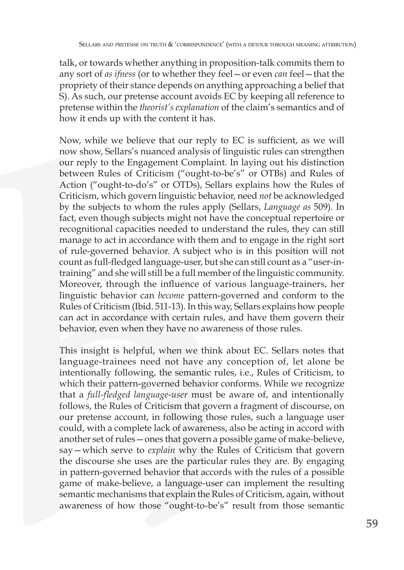talk, or towards whether anything in proposition-talk commits them to any sort of *as ifness* (or to whether they feel—or even *can* feel—that the propriety of their stance depends on anything approaching a belief that S). As such, our pretense account avoids EC by keeping all reference to pretense within the *theorist's explanation* of the claim's semantics and of how it ends up with the content it has.

Now, while we believe that our reply to EC is sufficient, as we will now show, Sellars's nuanced analysis of linguistic rules can strengthen our reply to the Engagement Complaint. In laying out his distinction between Rules of Criticism ("ought-to-be's" or OTBs) and Rules of Action ("ought-to-do's" or OTDs), Sellars explains how the Rules of Criticism, which govern linguistic behavior, need *not* be acknowledged by the subjects to whom the rules apply (Sellars, *Language as* 509). In fact, even though subjects might not have the conceptual repertoire or recognitional capacities needed to understand the rules, they can still manage to act in accordance with them and to engage in the right sort of rule-governed behavior. A subject who is in this position will not count as full-fledged language-user, but she can still count as a "user-intraining" and she will still be a full member of the linguistic community. Moreover, through the influence of various language-trainers, her linguistic behavior can *become* pattern-governed and conform to the Rules of Criticism (Ibid. 511-13). In this way, Sellars explains how people can act in accordance with certain rules, and have them govern their behavior, even when they have no awareness of those rules.

This insight is helpful, when we think about EC. Sellars notes that language-trainees need not have any conception of, let alone be intentionally following, the semantic rules, i.e., Rules of Criticism, to which their pattern-governed behavior conforms. While we recognize that a *full-fledged language-user* must be aware of, and intentionally follows, the Rules of Criticism that govern a fragment of discourse, on our pretense account, in following those rules, such a language user could, with a complete lack of awareness, also be acting in accord with another set of rules—ones that govern a possible game of make-believe, say—which serve to *explain* why the Rules of Criticism that govern the discourse she uses are the particular rules they are. By engaging in pattern-governed behavior that accords with the rules of a possible game of make-believe, a language-user can implement the resulting semantic mechanisms that explain the Rules of Criticism, again, without awareness of how those "ought-to-be's" result from those semantic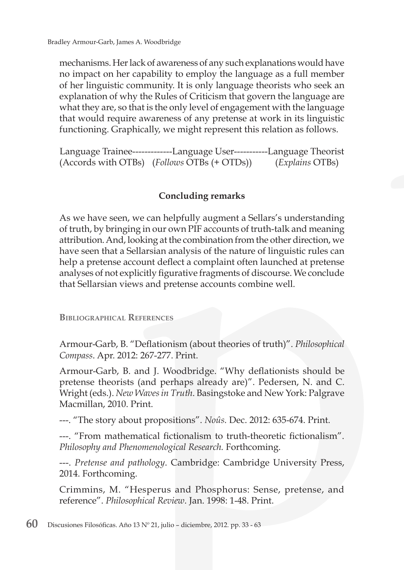mechanisms. Her lack of awareness of any such explanations would have no impact on her capability to employ the language as a full member of her linguistic community. It is only language theorists who seek an explanation of why the Rules of Criticism that govern the language are what they are, so that is the only level of engagement with the language that would require awareness of any pretense at work in its linguistic functioning. Graphically, we might represent this relation as follows.

Language Trainee-------------Language User-----------Language Theorist (Accords with OTBs) (*Follows* OTBs (+ OTDs)) (*Explains* OTBs)

## **Concluding remarks**

As we have seen, we can helpfully augment a Sellars's understanding of truth, by bringing in our own PIF accounts of truth-talk and meaning attribution. And, looking at the combination from the other direction, we have seen that a Sellarsian analysis of the nature of linguistic rules can help a pretense account deflect a complaint often launched at pretense analyses of not explicitly figurative fragments of discourse. We conclude that Sellarsian views and pretense accounts combine well.

**Bibliographical References**

Armour-Garb, B. "Deflationism (about theories of truth)". *Philosophical Compass*. Apr. 2012: 267-277. Print.

Armour-Garb, B. and J. Woodbridge. "Why deflationists should be pretense theorists (and perhaps already are)". Pedersen, N. and C. Wright (eds.). *New Waves in Truth*. Basingstoke and New York: Palgrave Macmillan, 2010. Print.

---. "The story about propositions". *Noûs.* Dec. 2012: 635-674. Print.

---. "From mathematical fictionalism to truth-theoretic fictionalism". *Philosophy and Phenomenological Research.* Forthcoming.

---. *Pretense and pathology*. Cambridge: Cambridge University Press, 2014. Forthcoming.

Crimmins, M. "Hesperus and Phosphorus: Sense, pretense, and reference". *Philosophical Review*. Jan. 1998: 1-48. Print.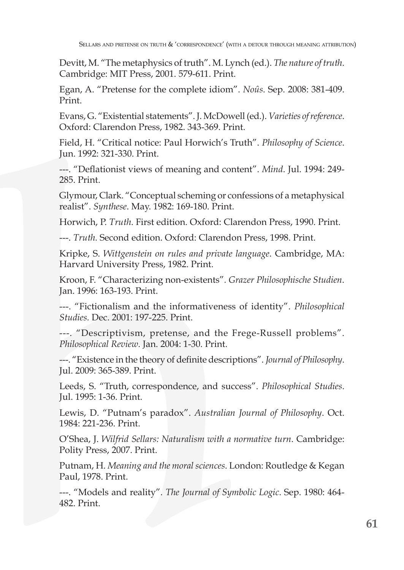Devitt, M. "The metaphysics of truth". M. Lynch (ed.). *The nature of truth*. Cambridge: MIT Press, 2001. 579-611. Print.

Egan, A. "Pretense for the complete idiom". *Noûs*. Sep. 2008: 381-409. Print.

Evans, G. "Existential statements". J. McDowell (ed.). *Varieties of reference*. Oxford: Clarendon Press, 1982. 343-369. Print.

Field, H. "Critical notice: Paul Horwich's Truth". *Philosophy of Science*. Jun. 1992: 321-330. Print.

---. "Deflationist views of meaning and content". *Mind*. Jul. 1994: 249- 285. Print.

Glymour, Clark. "Conceptual scheming or confessions of a metaphysical realist". *Synthese*. May. 1982: 169-180. Print.

Horwich, P. *Truth*. First edition. Oxford: Clarendon Press, 1990. Print.

---. *Truth.* Second edition. Oxford: Clarendon Press, 1998. Print.

Kripke, S. *Wittgenstein on rules and private language*. Cambridge, MA: Harvard University Press, 1982. Print.

Kroon, F. "Characterizing non-existents"*. Grazer Philosophische Studien*. Jan. 1996: 163-193. Print.

---. "Fictionalism and the informativeness of identity". *Philosophical Studies.* Dec. 2001: 197-225. Print.

---. "Descriptivism, pretense, and the Frege-Russell problems". *Philosophical Review*. Jan. 2004: 1-30. Print.

---. "Existence in the theory of definite descriptions". *Journal of Philosophy*. Jul. 2009: 365-389. Print.

Leeds, S. "Truth, correspondence, and success". *Philosophical Studies*. Jul. 1995: 1-36. Print.

Lewis, D. "Putnam's paradox". *Australian Journal of Philosophy*. Oct. 1984: 221-236. Print.

O'Shea, J. *Wilfrid Sellars: Naturalism with a normative turn*. Cambridge: Polity Press, 2007. Print.

Putnam, H. *Meaning and the moral sciences*. London: Routledge & Kegan Paul, 1978. Print.

---. "Models and reality". *The Journal of Symbolic Logic*. Sep. 1980: 464- 482. Print.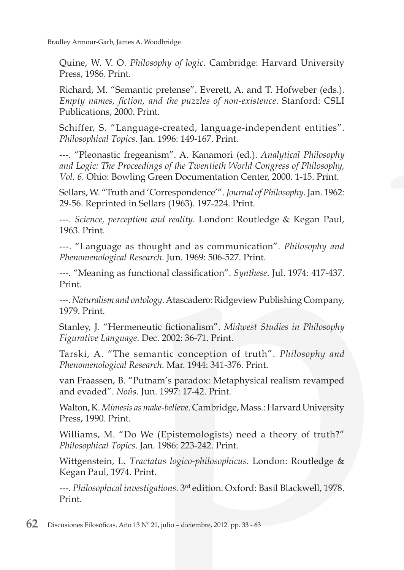Bradley Armour-Garb, James A. Woodbridge

Quine, W. V. O. *Philosophy of logic.* Cambridge: Harvard University Press, 1986. Print.

Richard, M. "Semantic pretense". Everett, A. and T. Hofweber (eds.). *Empty names, fiction, and the puzzles of non-existence*. Stanford: CSLI Publications, 2000. Print.

Schiffer, S. "Language-created, language-independent entities". *Philosophical Topics*. Jan. 1996: 149-167. Print.

---. "Pleonastic fregeanism". A. Kanamori (ed.). *Analytical Philosophy and Logic: The Proceedings of the Twentieth World Congress of Philosophy, Vol. 6.* Ohio: Bowling Green Documentation Center, 2000. 1-15. Print.

Sellars, W. "Truth and 'Correspondence'". *Journal of Philosophy*. Jan. 1962: 29-56. Reprinted in Sellars (1963). 197-224. Print.

---. *Science, perception and reality*. London: Routledge & Kegan Paul, 1963. Print.

---. "Language as thought and as communication". *Philosophy and Phenomenological Research*. Jun. 1969: 506-527. Print.

---. "Meaning as functional classification". *Synthese*. Jul. 1974: 417-437. Print.

---. *Naturalism and ontology*. Atascadero: Ridgeview Publishing Company, 1979. Print.

Stanley, J. "Hermeneutic fictionalism". *Midwest Studies in Philosophy Figurative Language*. Dec. 2002: 36-71. Print.

Tarski, A. "The semantic conception of truth". *Philosophy and Phenomenological Research*. Mar. 1944: 341-376. Print.

van Fraassen, B. "Putnam's paradox: Metaphysical realism revamped and evaded". *Noûs*. Jun. 1997: 17-42. Print.

Walton, K. *Mimesis as make-believe*. Cambridge, Mass.: Harvard University Press, 1990. Print.

Williams, M. "Do We (Epistemologists) need a theory of truth?" *Philosophical Topics*. Jan. 1986: 223-242. Print.

Wittgenstein, L. *Tractatus logico-philosophicus*. London: Routledge & Kegan Paul, 1974. Print.

---. *Philosophical investigations.* 3rd edition. Oxford: Basil Blackwell, 1978. Print.